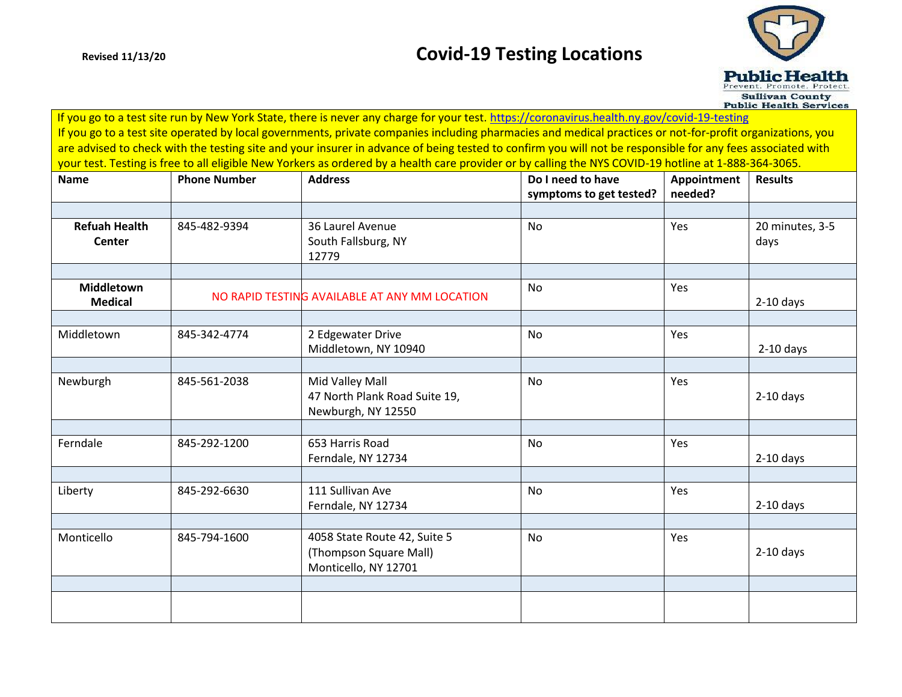## **Revised 11/13/20 Covid-19 Testing Locations**



 If you go to a test site run by New York State, there is never any charge for your test.<https://coronavirus.health.ny.gov/covid-19-testing> If you go to a test site operated by local governments, private companies including pharmacies and medical practices or not-for-profit organizations, you are advised to check with the testing site and your insurer in advance of being tested to confirm you will not be responsible for any fees associated with your test. Testing is free to all eligible New Yorkers as ordered by a health care provider or by calling the NYS COVID-19 hotline at 1-888-364-3065.

| <b>Name</b>                           | <b>Phone Number</b> | <b>Address</b>                                                                 | Do I need to have<br>symptoms to get tested? | Appointment<br>needed? | <b>Results</b>          |
|---------------------------------------|---------------------|--------------------------------------------------------------------------------|----------------------------------------------|------------------------|-------------------------|
|                                       |                     |                                                                                |                                              |                        |                         |
| <b>Refuah Health</b><br><b>Center</b> | 845-482-9394        | 36 Laurel Avenue<br>South Fallsburg, NY<br>12779                               | <b>No</b>                                    | Yes                    | 20 minutes, 3-5<br>days |
|                                       |                     |                                                                                |                                              |                        |                         |
| <b>Middletown</b><br><b>Medical</b>   |                     | NO RAPID TESTING AVAILABLE AT ANY MM LOCATION                                  | No                                           | Yes                    | $2-10$ days             |
|                                       |                     |                                                                                |                                              |                        |                         |
| Middletown                            | 845-342-4774        | 2 Edgewater Drive<br>Middletown, NY 10940                                      | <b>No</b>                                    | Yes                    | $2-10$ days             |
|                                       |                     |                                                                                |                                              |                        |                         |
| Newburgh                              | 845-561-2038        | Mid Valley Mall<br>47 North Plank Road Suite 19,<br>Newburgh, NY 12550         | <b>No</b>                                    | Yes                    | $2-10$ days             |
|                                       |                     |                                                                                |                                              |                        |                         |
| Ferndale                              | 845-292-1200        | 653 Harris Road<br>Ferndale, NY 12734                                          | <b>No</b>                                    | Yes                    | $2-10$ days             |
|                                       |                     |                                                                                |                                              |                        |                         |
| Liberty                               | 845-292-6630        | 111 Sullivan Ave<br>Ferndale, NY 12734                                         | <b>No</b>                                    | Yes                    | $2-10$ days             |
|                                       |                     |                                                                                |                                              |                        |                         |
| Monticello                            | 845-794-1600        | 4058 State Route 42, Suite 5<br>(Thompson Square Mall)<br>Monticello, NY 12701 | <b>No</b>                                    | Yes                    | $2-10$ days             |
|                                       |                     |                                                                                |                                              |                        |                         |
|                                       |                     |                                                                                |                                              |                        |                         |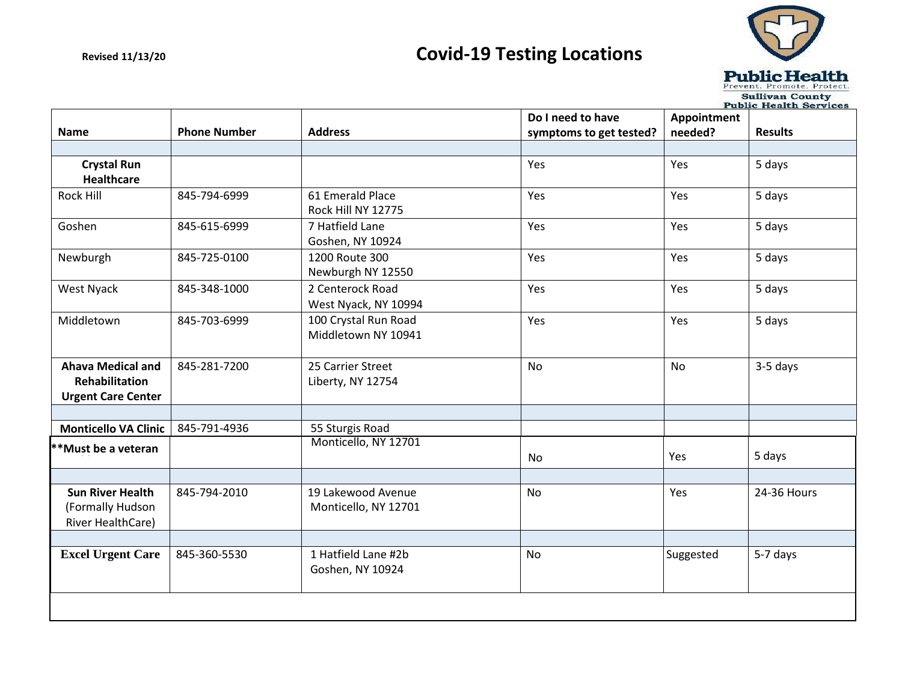# **Revised 11/13/20 Covid-19 Testing Locations**



|                                                                         | <b>Public Health Services</b> |                                             |                         |             |                |  |
|-------------------------------------------------------------------------|-------------------------------|---------------------------------------------|-------------------------|-------------|----------------|--|
|                                                                         |                               |                                             | Do I need to have       | Appointment |                |  |
| <b>Name</b>                                                             | <b>Phone Number</b>           | <b>Address</b>                              | symptoms to get tested? | needed?     | <b>Results</b> |  |
|                                                                         |                               |                                             |                         |             |                |  |
| <b>Crystal Run</b>                                                      |                               |                                             | Yes                     | Yes         | 5 days         |  |
| <b>Healthcare</b>                                                       |                               |                                             |                         |             |                |  |
| Rock Hill                                                               | 845-794-6999                  | 61 Emerald Place<br>Rock Hill NY 12775      | Yes                     | Yes         | 5 days         |  |
| Goshen                                                                  | 845-615-6999                  | 7 Hatfield Lane<br>Goshen, NY 10924         | Yes                     | Yes         | 5 days         |  |
| Newburgh                                                                | 845-725-0100                  | 1200 Route 300<br>Newburgh NY 12550         | Yes                     | Yes         | 5 days         |  |
| West Nyack                                                              | 845-348-1000                  | 2 Centerock Road<br>West Nyack, NY 10994    | Yes                     | Yes         | 5 days         |  |
| Middletown                                                              | 845-703-6999                  | 100 Crystal Run Road<br>Middletown NY 10941 | Yes                     | Yes         | 5 days         |  |
| <b>Ahava Medical and</b><br>Rehabilitation<br><b>Urgent Care Center</b> | 845-281-7200                  | 25 Carrier Street<br>Liberty, NY 12754      | <b>No</b>               | <b>No</b>   | 3-5 days       |  |
|                                                                         |                               |                                             |                         |             |                |  |
| <b>Monticello VA Clinic</b>                                             | 845-791-4936                  | 55 Sturgis Road                             |                         |             |                |  |
| **Must be a veteran                                                     |                               | Monticello, NY 12701                        |                         |             |                |  |
|                                                                         |                               |                                             | No                      | Yes         | 5 days         |  |
|                                                                         |                               |                                             |                         |             |                |  |
| <b>Sun River Health</b><br>(Formally Hudson<br>River HealthCare)        | 845-794-2010                  | 19 Lakewood Avenue<br>Monticello, NY 12701  | <b>No</b>               | Yes         | 24-36 Hours    |  |
|                                                                         |                               |                                             |                         |             |                |  |
| <b>Excel Urgent Care</b>                                                | 845-360-5530                  | 1 Hatfield Lane #2b<br>Goshen, NY 10924     | <b>No</b>               | Suggested   | 5-7 days       |  |
|                                                                         |                               |                                             |                         |             |                |  |